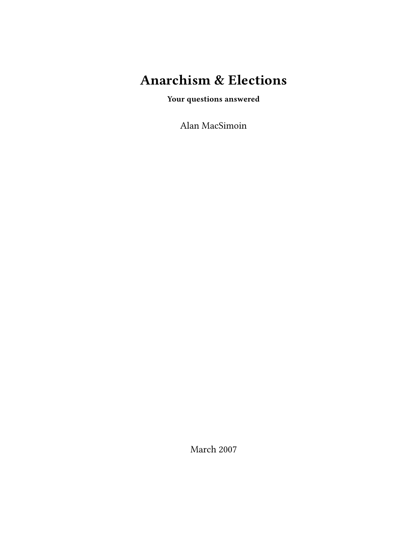# **Anarchism & Elections**

**Your questions answered**

Alan MacSimoin

March 2007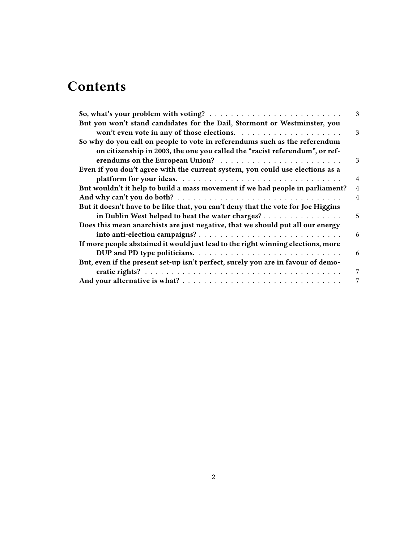# **Contents**

|                                                                                   | 3              |
|-----------------------------------------------------------------------------------|----------------|
| But you won't stand candidates for the Dail, Stormont or Westminster, you         |                |
|                                                                                   | 3              |
| So why do you call on people to vote in referendums such as the referendum        |                |
| on citizenship in 2003, the one you called the "racist referendum", or ref-       |                |
|                                                                                   | 3              |
| Even if you don't agree with the current system, you could use elections as a     |                |
|                                                                                   | $\overline{4}$ |
| But wouldn't it help to build a mass movement if we had people in parliament?     | $\overline{4}$ |
|                                                                                   | 4              |
| But it doesn't have to be like that, you can't deny that the vote for Joe Higgins |                |
| in Dublin West helped to beat the water charges?                                  | 5              |
| Does this mean anarchists are just negative, that we should put all our energy    |                |
|                                                                                   | 6              |
| If more people abstained it would just lead to the right winning elections, more  |                |
|                                                                                   | 6              |
| But, even if the present set-up isn't perfect, surely you are in favour of demo-  |                |
|                                                                                   | 7              |
|                                                                                   | $\overline{7}$ |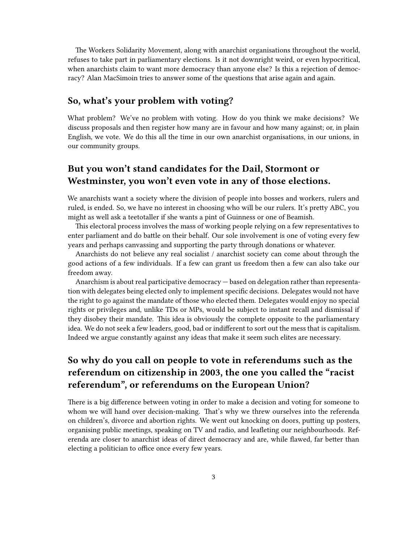The Workers Solidarity Movement, along with anarchist organisations throughout the world, refuses to take part in parliamentary elections. Is it not downright weird, or even hypocritical, when anarchists claim to want more democracy than anyone else? Is this a rejection of democracy? Alan MacSimoin tries to answer some of the questions that arise again and again.

#### <span id="page-2-0"></span>**So, what's your problem with voting?**

What problem? We've no problem with voting. How do you think we make decisions? We discuss proposals and then register how many are in favour and how many against; or, in plain English, we vote. We do this all the time in our own anarchist organisations, in our unions, in our community groups.

## <span id="page-2-1"></span>**But you won't stand candidates for the Dail, Stormont or Westminster, you won't even vote in any of those elections.**

We anarchists want a society where the division of people into bosses and workers, rulers and ruled, is ended. So, we have no interest in choosing who will be our rulers. It's pretty ABC, you might as well ask a teetotaller if she wants a pint of Guinness or one of Beamish.

This electoral process involves the mass of working people relying on a few representatives to enter parliament and do battle on their behalf. Our sole involvement is one of voting every few years and perhaps canvassing and supporting the party through donations or whatever.

Anarchists do not believe any real socialist / anarchist society can come about through the good actions of a few individuals. If a few can grant us freedom then a few can also take our freedom away.

Anarchism is about real participative democracy — based on delegation rather than representation with delegates being elected only to implement specific decisions. Delegates would not have the right to go against the mandate of those who elected them. Delegates would enjoy no special rights or privileges and, unlike TDs or MPs, would be subject to instant recall and dismissal if they disobey their mandate. This idea is obviously the complete opposite to the parliamentary idea. We do not seek a few leaders, good, bad or indifferent to sort out the mess that is capitalism. Indeed we argue constantly against any ideas that make it seem such elites are necessary.

# <span id="page-2-2"></span>**So why do you call on people to vote in referendums such as the referendum on citizenship in 2003, the one you called the "racist referendum", or referendums on the European Union?**

There is a big difference between voting in order to make a decision and voting for someone to whom we will hand over decision-making. That's why we threw ourselves into the referenda on children's, divorce and abortion rights. We went out knocking on doors, putting up posters, organising public meetings, speaking on TV and radio, and leafleting our neighbourhoods. Referenda are closer to anarchist ideas of direct democracy and are, while flawed, far better than electing a politician to office once every few years.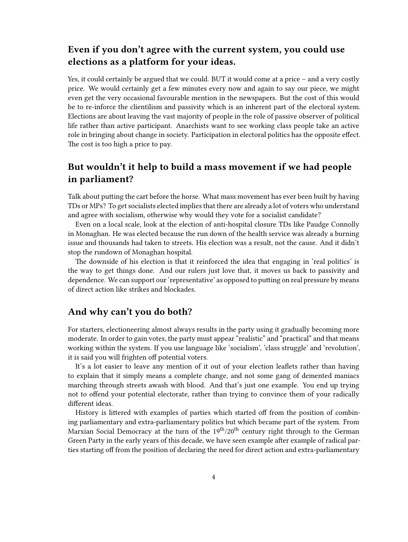# <span id="page-3-0"></span>**Even if you don't agree with the current system, you could use elections as a platform for your ideas.**

Yes, it could certainly be argued that we could. BUT it would come at a price – and a very costly price. We would certainly get a few minutes every now and again to say our piece, we might even get the very occasional favourable mention in the newspapers. But the cost of this would be to re-inforce the clientilism and passivity which is an inherent part of the electoral system. Elections are about leaving the vast majority of people in the role of passive observer of political life rather than active participant. Anarchists want to see working class people take an active role in bringing about change in society. Participation in electoral politics has the opposite effect. The cost is too high a price to pay.

# <span id="page-3-1"></span>**But wouldn't it help to build a mass movement if we had people in parliament?**

Talk about putting the cart before the horse. What mass movement has ever been built by having TDs or MPs? To get socialists elected implies that there are already a lot of voters who understand and agree with socialism, otherwise why would they vote for a socialist candidate?

Even on a local scale, look at the election of anti-hospital closure TDs like Paudge Connolly in Monaghan. He was elected because the run down of the health service was already a burning issue and thousands had taken to streets. His election was a result, not the cause. And it didn't stop the rundown of Monaghan hospital.

The downside of his election is that it reinforced the idea that engaging in 'real politics' is the way to get things done. And our rulers just love that, it moves us back to passivity and dependence. We can support our 'representative' as opposed to putting on real pressure by means of direct action like strikes and blockades.

#### <span id="page-3-2"></span>**And why can't you do both?**

For starters, electioneering almost always results in the party using it gradually becoming more moderate. In order to gain votes, the party must appear "realistic" and "practical" and that means working within the system. If you use language like 'socialism', 'class struggle' and 'revolution', it is said you will frighten off potential voters.

It's a lot easier to leave any mention of it out of your election leaflets rather than having to explain that it simply means a complete change, and not some gang of demented maniacs marching through streets awash with blood. And that's just one example. You end up trying not to offend your potential electorate, rather than trying to convince them of your radically different ideas.

History is littered with examples of parties which started off from the position of combining parliamentary and extra-parliamentary politics but which became part of the system. From Marxian Social Democracy at the turn of the  $19<sup>th</sup>/20<sup>th</sup>$  century right through to the German Green Party in the early years of this decade, we have seen example after example of radical parties starting off from the position of declaring the need for direct action and extra-parliamentary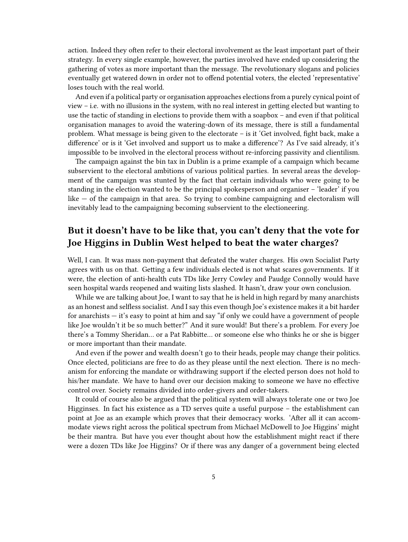action. Indeed they often refer to their electoral involvement as the least important part of their strategy. In every single example, however, the parties involved have ended up considering the gathering of votes as more important than the message. The revolutionary slogans and policies eventually get watered down in order not to offend potential voters, the elected 'representative' loses touch with the real world.

And even if a political party or organisation approaches elections from a purely cynical point of view – i.e. with no illusions in the system, with no real interest in getting elected but wanting to use the tactic of standing in elections to provide them with a soapbox – and even if that political organisation manages to avoid the watering-down of its message, there is still a fundamental problem. What message is being given to the electorate – is it 'Get involved, fight back, make a difference' or is it 'Get involved and support us to make a difference'? As I've said already, it's impossible to be involved in the electoral process without re-inforcing passivity and clientilism.

The campaign against the bin tax in Dublin is a prime example of a campaign which became subservient to the electoral ambitions of various political parties. In several areas the development of the campaign was stunted by the fact that certain individuals who were going to be standing in the election wanted to be the principal spokesperson and organiser – 'leader' if you like — of the campaign in that area. So trying to combine campaigning and electoralism will inevitably lead to the campaigning becoming subservient to the electioneering.

## <span id="page-4-0"></span>**But it doesn't have to be like that, you can't deny that the vote for Joe Higgins in Dublin West helped to beat the water charges?**

Well, I can. It was mass non-payment that defeated the water charges. His own Socialist Party agrees with us on that. Getting a few individuals elected is not what scares governments. If it were, the election of anti-health cuts TDs like Jerry Cowley and Paudge Connolly would have seen hospital wards reopened and waiting lists slashed. It hasn't, draw your own conclusion.

While we are talking about Joe, I want to say that he is held in high regard by many anarchists as an honest and selfless socialist. And I say this even though Joe's existence makes it a bit harder for anarchists — it's easy to point at him and say "if only we could have a government of people like Joe wouldn't it be so much better?" And it sure would! But there's a problem. For every Joe there's a Tommy Sheridan… or a Pat Rabbitte… or someone else who thinks he or she is bigger or more important than their mandate.

And even if the power and wealth doesn't go to their heads, people may change their politics. Once elected, politicians are free to do as they please until the next election. There is no mechanism for enforcing the mandate or withdrawing support if the elected person does not hold to his/her mandate. We have to hand over our decision making to someone we have no effective control over. Society remains divided into order-givers and order-takers.

It could of course also be argued that the political system will always tolerate one or two Joe Higginses. In fact his existence as a TD serves quite a useful purpose – the establishment can point at Joe as an example which proves that their democracy works. 'After all it can accommodate views right across the political spectrum from Michael McDowell to Joe Higgins' might be their mantra. But have you ever thought about how the establishment might react if there were a dozen TDs like Joe Higgins? Or if there was any danger of a government being elected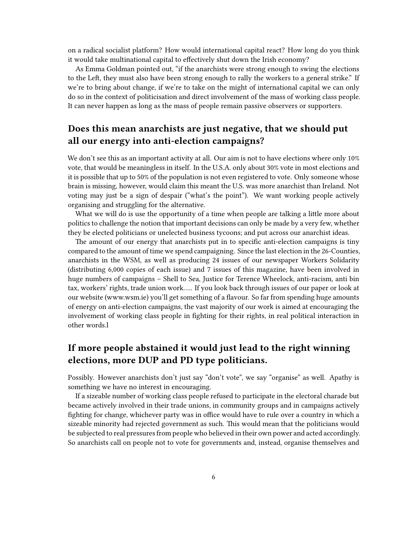on a radical socialist platform? How would international capital react? How long do you think it would take multinational capital to effectively shut down the Irish economy?

As Emma Goldman pointed out, "if the anarchists were strong enough to swing the elections to the Left, they must also have been strong enough to rally the workers to a general strike." If we're to bring about change, if we're to take on the might of international capital we can only do so in the context of politicisation and direct involvement of the mass of working class people. It can never happen as long as the mass of people remain passive observers or supporters.

## <span id="page-5-0"></span>**Does this mean anarchists are just negative, that we should put all our energy into anti-election campaigns?**

We don't see this as an important activity at all. Our aim is not to have elections where only 10% vote, that would be meaningless in itself. In the U.S.A. only about 30% vote in most elections and it is possible that up to 50% of the population is not even registered to vote. Only someone whose brain is missing, however, would claim this meant the U.S. was more anarchist than Ireland. Not voting may just be a sign of despair ("what's the point"). We want working people actively organising and struggling for the alternative.

What we will do is use the opportunity of a time when people are talking a little more about politics to challenge the notion that important decisions can only be made by a very few, whether they be elected politicians or unelected business tycoons; and put across our anarchist ideas.

The amount of our energy that anarchists put in to specific anti-election campaigns is tiny compared to the amount of time we spend campaigning. Since the last election in the 26-Counties, anarchists in the WSM, as well as producing 24 issues of our newspaper Workers Solidarity (distributing 6,000 copies of each issue) and 7 issues of this magazine, have been involved in huge numbers of campaigns – Shell to Sea, Justice for Terence Wheelock, anti-racism, anti bin tax, workers' rights, trade union work….. If you look back through issues of our paper or look at our website (www.wsm.ie) you'll get something of a flavour. So far from spending huge amounts of energy on anti-election campaigns, the vast majority of our work is aimed at encouraging the involvement of working class people in fighting for their rights, in real political interaction in other words.l

## <span id="page-5-1"></span>**If more people abstained it would just lead to the right winning elections, more DUP and PD type politicians.**

Possibly. However anarchists don't just say "don't vote", we say "organise" as well. Apathy is something we have no interest in encouraging.

If a sizeable number of working class people refused to participate in the electoral charade but became actively involved in their trade unions, in community groups and in campaigns actively fighting for change, whichever party was in office would have to rule over a country in which a sizeable minority had rejected government as such. This would mean that the politicians would be subjected to real pressures from people who believed in their own power and acted accordingly. So anarchists call on people not to vote for governments and, instead, organise themselves and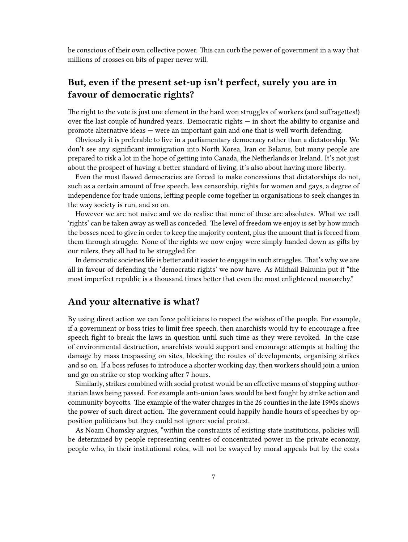be conscious of their own collective power. This can curb the power of government in a way that millions of crosses on bits of paper never will.

## <span id="page-6-0"></span>**But, even if the present set-up isn't perfect, surely you are in favour of democratic rights?**

The right to the vote is just one element in the hard won struggles of workers (and suffragettes!) over the last couple of hundred years. Democratic rights — in short the ability to organise and promote alternative ideas — were an important gain and one that is well worth defending.

Obviously it is preferable to live in a parliamentary democracy rather than a dictatorship. We don't see any significant immigration into North Korea, Iran or Belarus, but many people are prepared to risk a lot in the hope of getting into Canada, the Netherlands or Ireland. It's not just about the prospect of having a better standard of living, it's also about having more liberty.

Even the most flawed democracies are forced to make concessions that dictatorships do not, such as a certain amount of free speech, less censorship, rights for women and gays, a degree of independence for trade unions, letting people come together in organisations to seek changes in the way society is run, and so on.

However we are not naive and we do realise that none of these are absolutes. What we call 'rights' can be taken away as well as conceded. The level of freedom we enjoy is set by how much the bosses need to give in order to keep the majority content, plus the amount that is forced from them through struggle. None of the rights we now enjoy were simply handed down as gifts by our rulers, they all had to be struggled for.

In democratic societies life is better and it easier to engage in such struggles. That's why we are all in favour of defending the 'democratic rights' we now have. As Mikhail Bakunin put it "the most imperfect republic is a thousand times better that even the most enlightened monarchy."

#### <span id="page-6-1"></span>**And your alternative is what?**

By using direct action we can force politicians to respect the wishes of the people. For example, if a government or boss tries to limit free speech, then anarchists would try to encourage a free speech fight to break the laws in question until such time as they were revoked. In the case of environmental destruction, anarchists would support and encourage attempts at halting the damage by mass trespassing on sites, blocking the routes of developments, organising strikes and so on. If a boss refuses to introduce a shorter working day, then workers should join a union and go on strike or stop working after 7 hours.

Similarly, strikes combined with social protest would be an effective means of stopping authoritarian laws being passed. For example anti-union laws would be best fought by strike action and community boycotts. The example of the water charges in the 26 counties in the late 1990s shows the power of such direct action. The government could happily handle hours of speeches by opposition politicians but they could not ignore social protest.

As Noam Chomsky argues, "within the constraints of existing state institutions, policies will be determined by people representing centres of concentrated power in the private economy, people who, in their institutional roles, will not be swayed by moral appeals but by the costs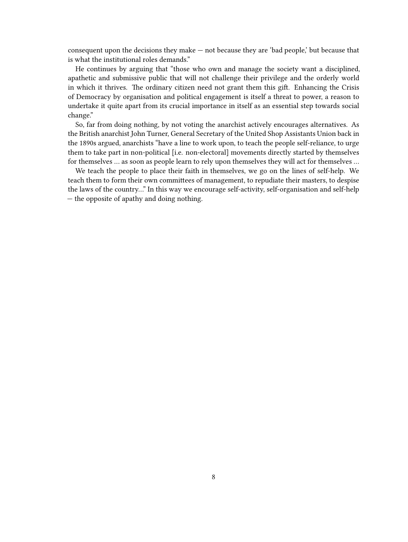consequent upon the decisions they make — not because they are 'bad people,' but because that is what the institutional roles demands."

He continues by arguing that "those who own and manage the society want a disciplined, apathetic and submissive public that will not challenge their privilege and the orderly world in which it thrives. The ordinary citizen need not grant them this gift. Enhancing the Crisis of Democracy by organisation and political engagement is itself a threat to power, a reason to undertake it quite apart from its crucial importance in itself as an essential step towards social change."

So, far from doing nothing, by not voting the anarchist actively encourages alternatives. As the British anarchist John Turner, General Secretary of the United Shop Assistants Union back in the 1890s argued, anarchists "have a line to work upon, to teach the people self-reliance, to urge them to take part in non-political [i.e. non-electoral] movements directly started by themselves for themselves … as soon as people learn to rely upon themselves they will act for themselves …

We teach the people to place their faith in themselves, we go on the lines of self-help. We teach them to form their own committees of management, to repudiate their masters, to despise the laws of the country…" In this way we encourage self-activity, self-organisation and self-help — the opposite of apathy and doing nothing.